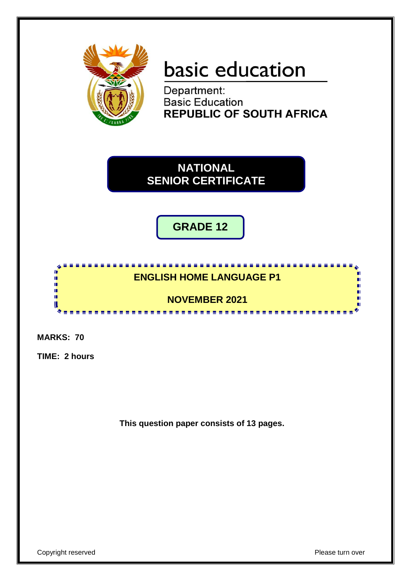

# basic education

Department: **Basic Education REPUBLIC OF SOUTH AFRICA** 

**NATIONAL SENIOR CERTIFICATE**

**GRADE 12**

### **ENGLISH HOME LANGUAGE P1**

<u>. . . . . . . . . . .</u>

#### **NOVEMBER 2021** <u>. . . . . . . . . . . . .</u>

**MARKS: 70**

情報

ú, U

**TIME: 2 hours**

**This question paper consists of 13 pages.**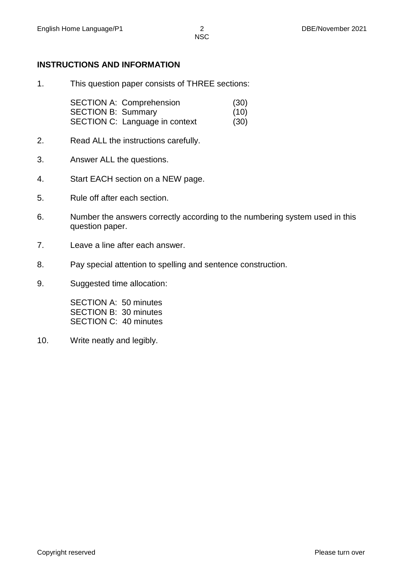#### **INSTRUCTIONS AND INFORMATION**

1. This question paper consists of THREE sections:

SECTION A: Comprehension (30) SECTION B: Summary (10) SECTION C: Language in context (30)

- 2. Read ALL the instructions carefully.
- 3. Answer ALL the questions.
- 4. Start EACH section on a NEW page.
- 5. Rule off after each section.
- 6. Number the answers correctly according to the numbering system used in this question paper.
- 7. Leave a line after each answer.
- 8. Pay special attention to spelling and sentence construction.
- 9. Suggested time allocation:

SECTION A: 50 minutes SECTION B: 30 minutes SECTION C: 40 minutes

10. Write neatly and legibly.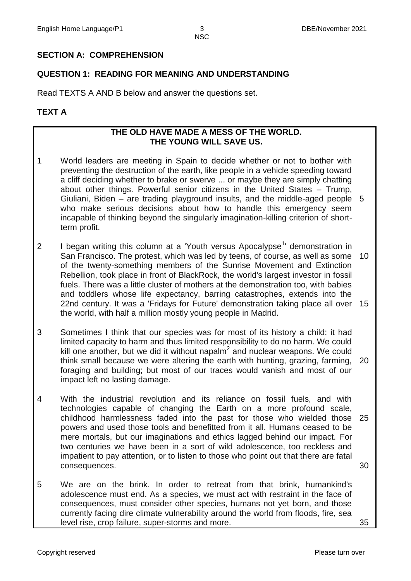#### **SECTION A: COMPREHENSION**

#### **QUESTION 1: READING FOR MEANING AND UNDERSTANDING**

Read TEXTS A AND B below and answer the questions set.

#### **TEXT A**

#### **THE OLD HAVE MADE A MESS OF THE WORLD. THE YOUNG WILL SAVE US.**

- 1 World leaders are meeting in Spain to decide whether or not to bother with preventing the destruction of the earth, like people in a vehicle speeding toward a cliff deciding whether to brake or swerve ... or maybe they are simply chatting about other things. Powerful senior citizens in the United States – Trump, Giuliani, Biden – are trading playground insults, and the middle-aged people 5 who make serious decisions about how to handle this emergency seem incapable of thinking beyond the singularly imagination-killing criterion of shortterm profit.
- 2 I began writing this column at a 'Youth versus Apocalypse<sup>1</sup>' demonstration in San Francisco. The protest, which was led by teens, of course, as well as some of the twenty-something members of the Sunrise Movement and Extinction Rebellion, took place in front of BlackRock, the world's largest investor in fossil fuels. There was a little cluster of mothers at the demonstration too, with babies and toddlers whose life expectancy, barring catastrophes, extends into the 22nd century. It was a 'Fridays for Future' demonstration taking place all over 15 the world, with half a million mostly young people in Madrid. 10
- 3 Sometimes I think that our species was for most of its history a child: it had limited capacity to harm and thus limited responsibility to do no harm. We could kill one another, but we did it without napalm $^2$  and nuclear weapons. We could think small because we were altering the earth with hunting, grazing, farming, foraging and building; but most of our traces would vanish and most of our impact left no lasting damage. 20
- 4 With the industrial revolution and its reliance on fossil fuels, and with technologies capable of changing the Earth on a more profound scale, childhood harmlessness faded into the past for those who wielded those 25 powers and used those tools and benefitted from it all. Humans ceased to be mere mortals, but our imaginations and ethics lagged behind our impact. For two centuries we have been in a sort of wild adolescence, too reckless and impatient to pay attention, or to listen to those who point out that there are fatal consequences. 30
- 5 We are on the brink. In order to retreat from that brink, humankind's adolescence must end. As a species, we must act with restraint in the face of consequences, must consider other species, humans not yet born, and those currently facing dire climate vulnerability around the world from floods, fire, sea level rise, crop failure, super-storms and more.

35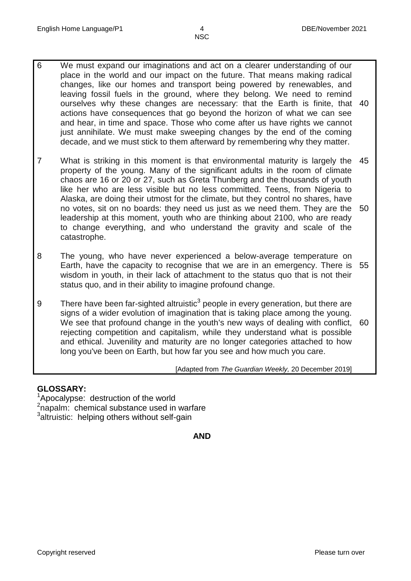- 6 We must expand our imaginations and act on a clearer understanding of our place in the world and our impact on the future. That means making radical changes, like our homes and transport being powered by renewables, and leaving fossil fuels in the ground, where they belong. We need to remind ourselves why these changes are necessary: that the Earth is finite, that 40 actions have consequences that go beyond the horizon of what we can see and hear, in time and space. Those who come after us have rights we cannot just annihilate. We must make sweeping changes by the end of the coming decade, and we must stick to them afterward by remembering why they matter.
- 7 What is striking in this moment is that environmental maturity is largely the property of the young. Many of the significant adults in the room of climate chaos are 16 or 20 or 27, such as Greta Thunberg and the thousands of youth like her who are less visible but no less committed. Teens, from Nigeria to Alaska, are doing their utmost for the climate, but they control no shares, have no votes, sit on no boards: they need us just as we need them. They are the 50 leadership at this moment, youth who are thinking about 2100, who are ready to change everything, and who understand the gravity and scale of the catastrophe. 45
- 8 The young, who have never experienced a below-average temperature on Earth, have the capacity to recognise that we are in an emergency. There is 55 wisdom in youth, in their lack of attachment to the status quo that is not their status quo, and in their ability to imagine profound change.
- 9 There have been far-sighted altruistic<sup>3</sup> people in every generation, but there are signs of a wider evolution of imagination that is taking place among the young. We see that profound change in the youth's new ways of dealing with conflict, 60 rejecting competition and capitalism, while they understand what is possible and ethical. Juvenility and maturity are no longer categories attached to how long you've been on Earth, but how far you see and how much you care.

[Adapted from *The Guardian Weekly,* 20 December 2019]

#### **GLOSSARY:**

- <sup>1</sup>Apocalypse: destruction of the world
- <sup>2</sup>napalm: chemical substance used in warfare
- <sup>3</sup>altruistic: helping others without self-gain

**AND**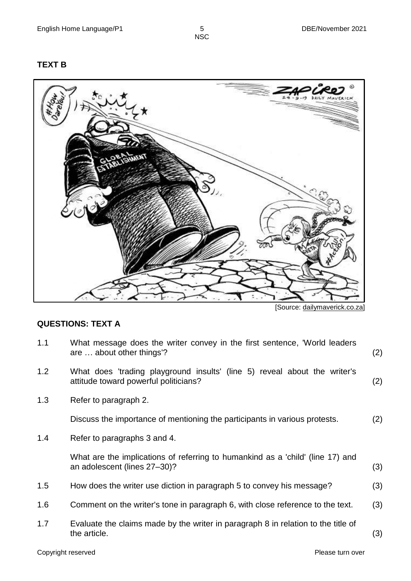#### **TEXT B**



[Source: [dailymaverick.co.za\]](http://www.twitter.com/)

#### **QUESTIONS: TEXT A**

- 1.1 What message does the writer convey in the first sentence, 'World leaders are … about other things'? (2)
- 1.2 What does 'trading playground insults' (line 5) reveal about the writer's attitude toward powerful politicians? (2)
- 1.3 Refer to paragraph 2.

Discuss the importance of mentioning the participants in various protests. (2)

1.4 Refer to paragraphs 3 and 4.

What are the implications of referring to humankind as a 'child' (line 17) and an adolescent (lines 27–30)? (3)

- 1.5 How does the writer use diction in paragraph 5 to convey his message? (3)
- 1.6 Comment on the writer's tone in paragraph 6, with close reference to the text. (3)
- 1.7 Evaluate the claims made by the writer in paragraph 8 in relation to the title of the article. (3)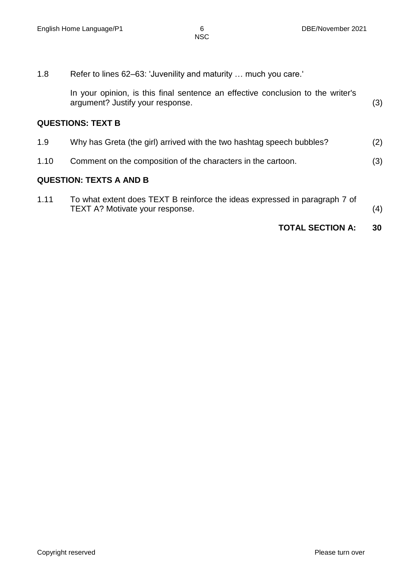1.8 Refer to lines 62–63: 'Juvenility and maturity … much you care.'

In your opinion, is this final sentence an effective conclusion to the writer's argument? Justify your response. (3)

#### **QUESTIONS: TEXT B**

| 1.9 | Why has Greta (the girl) arrived with the two hashtag speech bubbles? | (2) |
|-----|-----------------------------------------------------------------------|-----|
|-----|-----------------------------------------------------------------------|-----|

1.10 Comment on the composition of the characters in the cartoon. (3)

#### **QUESTION: TEXTS A AND B**

| 1.11 | To what extent does TEXT B reinforce the ideas expressed in paragraph 7 of |     |
|------|----------------------------------------------------------------------------|-----|
|      | TEXT A? Motivate your response.                                            | (4) |

#### **TOTAL SECTION A: 30**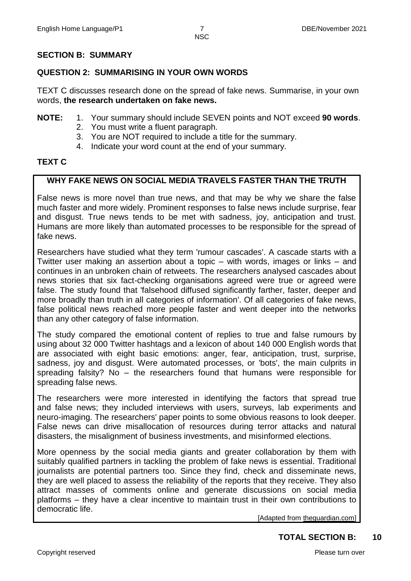#### **SECTION B: SUMMARY**

#### **QUESTION 2: SUMMARISING IN YOUR OWN WORDS**

TEXT C discusses research done on the spread of fake news. Summarise, in your own words, **the research undertaken on fake news.**

- **NOTE:** 1. Your summary should include SEVEN points and NOT exceed **90 words**.
	- 2. You must write a fluent paragraph.
	- 3. You are NOT required to include a title for the summary.
	- 4. Indicate your word count at the end of your summary.

#### **TEXT C**

#### **WHY FAKE NEWS ON SOCIAL MEDIA TRAVELS FASTER THAN THE TRUTH**

False news is more novel than true news, and that may be why we share the false much faster and more widely. Prominent responses to false news include surprise, fear and disgust. True news tends to be met with sadness, joy, anticipation and trust. Humans are more likely than automated processes to be responsible for the spread of fake news.

Researchers have studied what they term 'rumour cascades'. A cascade starts with a [Twitter](https://www.theguardian.com/technology/twitter) user making an assertion about a topic – with words, images or links – and continues in an unbroken chain of retweets. The researchers analysed cascades about news stories that six fact-checking organisations agreed were true or agreed were false. The study found that 'falsehood diffused significantly farther, faster, deeper and more broadly than truth in all categories of information'. Of all categories of fake news, false political news reached more people faster and went deeper into the networks than any other category of false information.

The study compared the emotional content of replies to true and false rumours by using about 32 000 Twitter hashtags and a lexicon of about 140 000 English words that are associated with eight basic emotions: anger, fear, anticipation, trust, surprise, sadness, joy and disgust. Were automated processes, or 'bots', the main culprits in spreading falsity? No – the researchers found that humans were responsible for spreading false news.

The researchers were more interested in identifying the factors that spread true and false news; they included interviews with users, surveys, lab experiments and neuro-imaging. The researchers' paper points to some obvious reasons to look deeper. False news can drive misallocation of resources during terror attacks and natural disasters, the misalignment of business investments, and misinformed elections.

More openness by the social media giants and greater collaboration by them with suitably qualified partners in tackling the problem of fake news is essential. Traditional journalists are potential partners too. Since they find, check and disseminate news, they are well placed to assess the reliability of the reports that they receive. They also attract masses of comments online and generate discussions on social media platforms – they have a clear incentive to maintain trust in their own contributions to democratic life.

[Adapted from theguardian.com]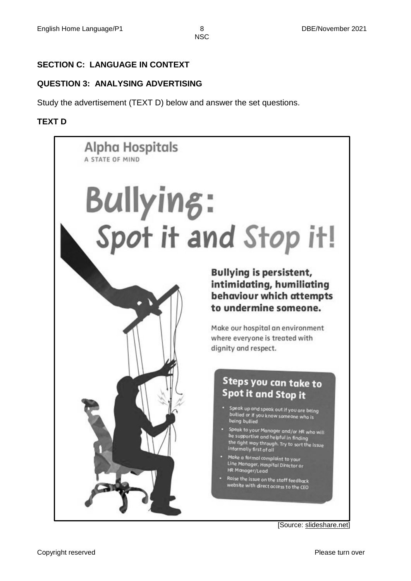#### **SECTION C: LANGUAGE IN CONTEXT**

#### **QUESTION 3: ANALYSING ADVERTISING**

Study the advertisement (TEXT D) below and answer the set questions.

#### **TEXT D**

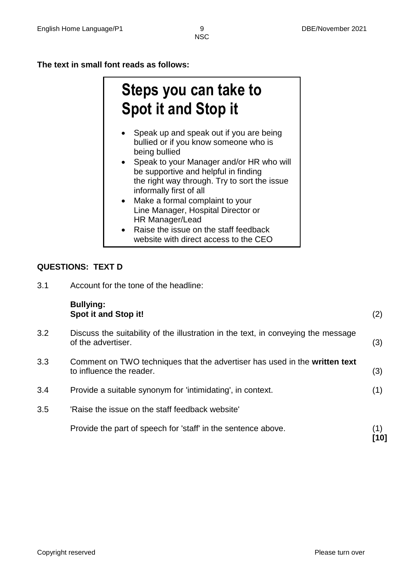**The text in small font reads as follows:**

## **Steps you can take to Spot it and Stop it**

- Speak up and speak out if you are being bullied or if you know someone who is being bullied
- Speak to your Manager and/or HR who will be supportive and helpful in finding the right way through. Try to sort the issue informally first of all
- Make a formal complaint to your Line Manager, Hospital Director or HR Manager/Lead
- Raise the issue on the staff feedback website with direct access to the CEO

#### **QUESTIONS: TEXT D**

3.1 Account for the tone of the headline:

|     | <b>Bullying:</b><br>Spot it and Stop it!                                                                | (2)         |
|-----|---------------------------------------------------------------------------------------------------------|-------------|
| 3.2 | Discuss the suitability of the illustration in the text, in conveying the message<br>of the advertiser. | (3)         |
| 3.3 | Comment on TWO techniques that the advertiser has used in the written text<br>to influence the reader.  | (3)         |
| 3.4 | Provide a suitable synonym for 'intimidating', in context.                                              | (1)         |
| 3.5 | 'Raise the issue on the staff feedback website'                                                         |             |
|     | Provide the part of speech for 'staff' in the sentence above.                                           | (1)<br>้101 |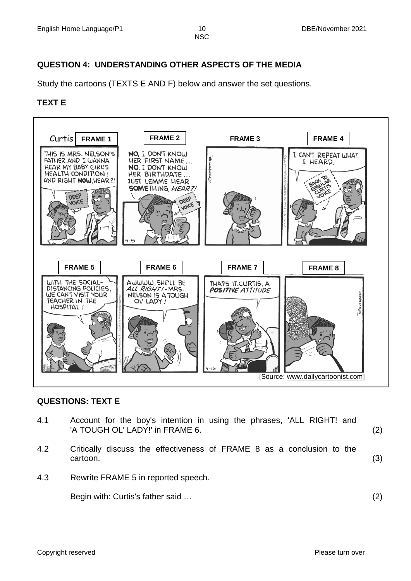#### **QUESTION 4: UNDERSTANDING OTHER ASPECTS OF THE MEDIA**

Study the cartoons (TEXTS E AND F) below and answer the set questions.

#### **TEXT E**



#### **QUESTIONS: TEXT E**

| 4.1 | Account for the boy's intention in using the phrases, 'ALL RIGHT! and<br>'A TOUGH OL' LADY!' in FRAME 6. | (2) |
|-----|----------------------------------------------------------------------------------------------------------|-----|
| 4.2 | Critically discuss the effectiveness of FRAME 8 as a conclusion to the<br>cartoon.                       | (3) |
| 4.3 | Rewrite FRAME 5 in reported speech.                                                                      |     |
|     | Begin with: Curtis's father said                                                                         | (2) |
|     |                                                                                                          |     |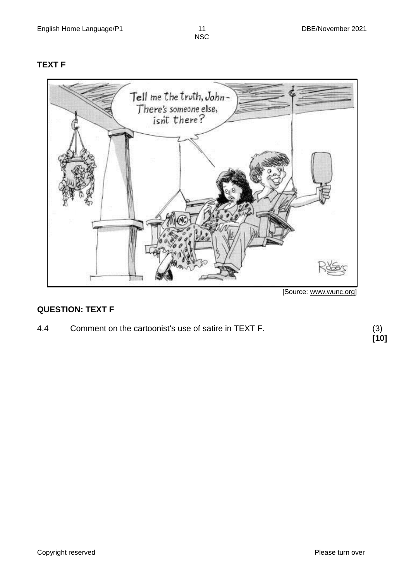#### **TEXT F**



[Source: www.wunc.org]

#### **QUESTION: TEXT F**

4.4 Comment on the cartoonist's use of satire in TEXT F.

**[10]**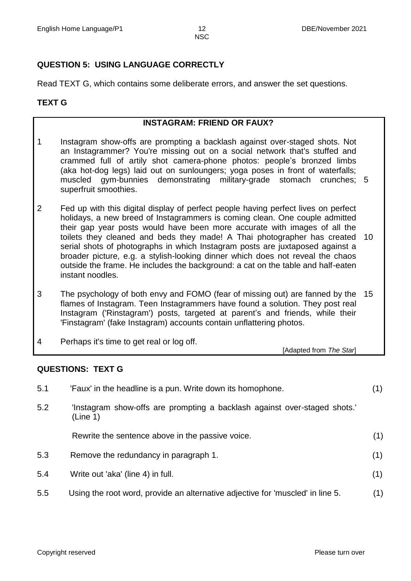#### **QUESTION 5: USING LANGUAGE CORRECTLY**

Read TEXT G, which contains some deliberate errors, and answer the set questions.

#### **TEXT G**

#### **INSTAGRAM: FRIEND OR FAUX?**

- 1 Instagram show-offs are prompting a backlash against over-staged shots. Not an Instagrammer? You're missing out on a social network that's stuffed and crammed full of artily shot camera-phone photos: people's bronzed limbs (aka hot-dog legs) laid out on sunloungers; yoga poses in front of waterfalls; muscled gym-bunnies demonstrating military-grade stomach crunches; 5 superfruit smoothies.
- 2 Fed up with this digital display of perfect people having perfect lives on perfect holidays, a new breed of Instagrammers is coming clean. One couple admitted their gap year posts would have been more accurate with images of all the toilets they cleaned and beds they made! A Thai photographer has created 10 serial shots of photographs in which Instagram posts are juxtaposed against a broader picture, e.g. a stylish-looking dinner which does not reveal the chaos outside the frame. He includes the background: a cat on the table and half-eaten instant noodles.
- 3 The psychology of both envy and FOMO (fear of missing out) are fanned by the 15 flames of Instagram. Teen Instagrammers have found a solution. They post real Instagram ('Rinstagram') posts, targeted at parent's and friends, while their 'Finstagram' (fake Instagram) accounts contain unflattering photos.
- 4 Perhaps it's time to get real or log off.

[Adapted from *The Star*]

#### **QUESTIONS: TEXT G**

| 5.1 | 'Faux' in the headline is a pun. Write down its homophone.                            | (1) |
|-----|---------------------------------------------------------------------------------------|-----|
| 5.2 | 'Instagram show-offs are prompting a backlash against over-staged shots.'<br>(Line 1) |     |
|     | Rewrite the sentence above in the passive voice.                                      | (1) |
| 5.3 | Remove the redundancy in paragraph 1.                                                 | (1) |
| 5.4 | Write out 'aka' (line 4) in full.                                                     | (1) |
| 5.5 | Using the root word, provide an alternative adjective for 'muscled' in line 5.        | (1) |